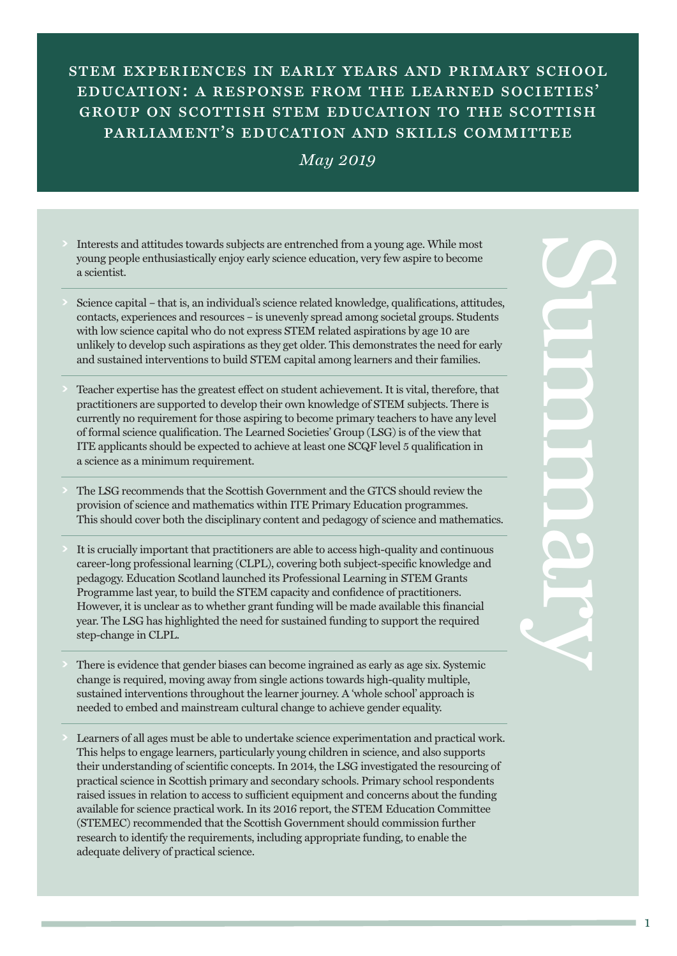# stem experiences in early years and primary school education: a response from the learned societies' group on scottish stem education to the scottish parliament's education and skills committee

#### *May 2019*

- **>** Interests and attitudes towards subjects are entrenched from a young age. While most young people enthusiastically enjoy early science education, very few aspire to become a scientist.
- **>** Science capital that is, an individual's science related knowledge, qualifications, attitudes, contacts, experiences and resources – is unevenly spread among societal groups. Students with low science capital who do not express STEM related aspirations by age 10 are unlikely to develop such aspirations as they get older. This demonstrates the need for early and sustained interventions to build STEM capital among learners and their families.
- **>** Teacher expertise has the greatest effect on student achievement. It is vital, therefore, that practitioners are supported to develop their own knowledge of STEM subjects. There is currently no requirement for those aspiring to become primary teachers to have any level of formal science qualification. The Learned Societies' Group (LSG) is of the view that ITE applicants should be expected to achieve at least one SCQF level 5 qualification in a science as a minimum requirement.
- **>** The LSG recommends that the Scottish Government and the GTCS should review the provision of science and mathematics within ITE Primary Education programmes. This should cover both the disciplinary content and pedagogy of science and mathematics.
- **>** It is crucially important that practitioners are able to access high-quality and continuous career-long professional learning (CLPL), covering both subject-specific knowledge and pedagogy. Education Scotland launched its Professional Learning in STEM Grants Programme last year, to build the STEM capacity and confidence of practitioners. However, it is unclear as to whether grant funding will be made available this financial year. The LSG has highlighted the need for sustained funding to support the required step-change in CLPL.
- **>** There is evidence that gender biases can become ingrained as early as age six. Systemic change is required, moving away from single actions towards high-quality multiple, sustained interventions throughout the learner journey. A 'whole school' approach is needed to embed and mainstream cultural change to achieve gender equality.
- **>** Learners of all ages must be able to undertake science experimentation and practical work. This helps to engage learners, particularly young children in science, and also supports their understanding of scientific concepts. In 2014, the LSG investigated the resourcing of practical science in Scottish primary and secondary schools. Primary school respondents raised issues in relation to access to sufficient equipment and concerns about the funding available for science practical work. In its 2016 report, the STEM Education Committee (STEMEC) recommended that the Scottish Government should commission further research to identify the requirements, including appropriate funding, to enable the adequate delivery of practical science.

 $\mathbf{C}$ u m **M** a r  $\sim$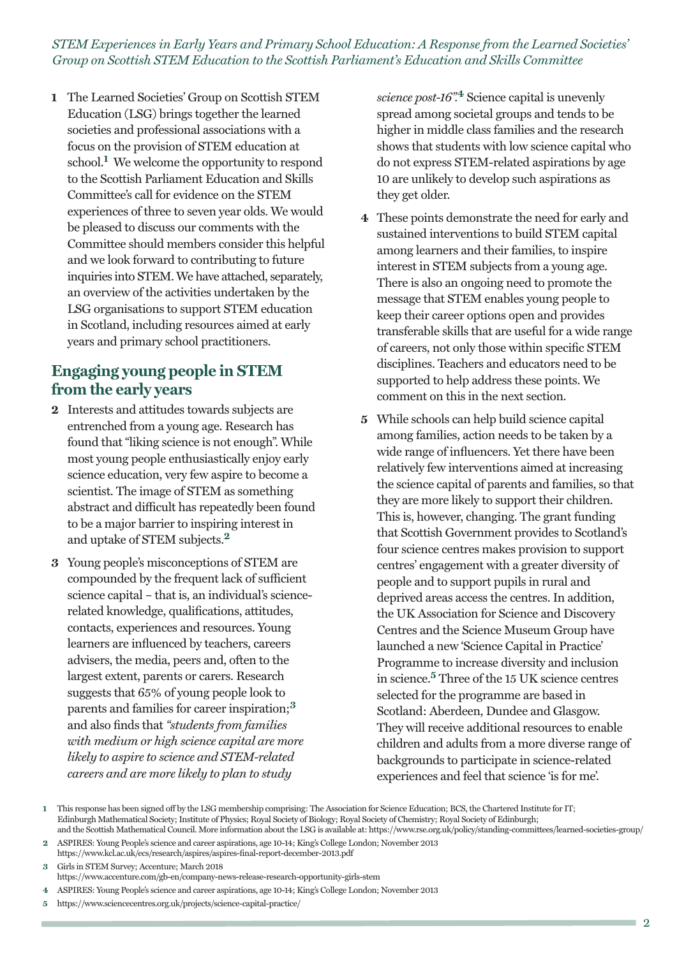**1** The Learned Societies' Group on Scottish STEM Education (LSG) brings together the learned societies and professional associations with a focus on the provision of STEM education at school. **<sup>1</sup>** We welcome the opportunity to respond to the Scottish Parliament Education and Skills Committee's call for evidence on the STEM experiences of three to seven year olds. We would be pleased to discuss our comments with the Committee should members consider this helpful and we look forward to contributing to future inquiries into STEM. We have attached, separately, an overview of the activities undertaken by the LSG organisations to support STEM education in Scotland, including resources aimed at early years and primary school practitioners.

### **Engaging young people in STEM from the early years**

- **2** Interests and attitudes towards subjects are entrenched from a young age. Research has found that "liking science is not enough". While most young people enthusiastically enjoy early science education, very few aspire to become a scientist. The image of STEM as something abstract and difficult has repeatedly been found to be a major barrier to inspiring interest in and uptake of STEM subjects. **2**
- **3** Young people's misconceptions of STEM are compounded by the frequent lack of sufficient science capital – that is, an individual's sciencerelated knowledge, qualifications, attitudes, contacts, experiences and resources. Young learners are influenced by teachers, careers advisers, the media, peers and, often to the largest extent, parents or carers. Research suggests that 65% of young people look to parents and families for career inspiration; **3** and also finds that *"students from families with medium or high science capital are more likely to aspire to science and STEM-related careers and are more likely to plan to study*

*science post-16".* **<sup>4</sup>** Science capital is unevenly spread among societal groups and tends to be higher in middle class families and the research shows that students with low science capital who do not express STEM-related aspirations by age 10 are unlikely to develop such aspirations as they get older.

- **4** These points demonstrate the need for early and sustained interventions to build STEM capital among learners and their families, to inspire interest in STEM subjects from a young age. There is also an ongoing need to promote the message that STEM enables young people to keep their career options open and provides transferable skills that are useful for a wide range of careers, not only those within specific STEM disciplines. Teachers and educators need to be supported to help address these points. We comment on this in the next section.
- **5** While schools can help build science capital among families, action needs to be taken by a wide range of influencers. Yet there have been relatively few interventions aimed at increasing the science capital of parents and families, so that they are more likely to support their children. This is, however, changing. The grant funding that Scottish Government provides to Scotland's four science centres makes provision to support centres' engagement with a greater diversity of people and to support pupils in rural and deprived areas access the centres. In addition, the UK Association for Science and Discovery Centres and the Science Museum Group have launched a new 'Science Capital in Practice' Programme to increase diversity and inclusion in science. **<sup>5</sup>** Three of the 15 UK science centres selected for the programme are based in Scotland: Aberdeen, Dundee and Glasgow. They will receive additional resources to enable children and adults from a more diverse range of backgrounds to participate in science-related experiences and feel that science 'is for me'.

- https://www.kcl.ac.uk/ecs/research/aspires/aspires-final-report-december-2013.pdf **3** Girls in STEM Survey; Accenture; March 2018
- https://www.accenture.com/gb-en/company-news-release-research-opportunity-girls-stem
- **4** ASPIRES: Young People's science and career aspirations, age 10-14; King's College London; November 2013
- **5** https://www.sciencecentres.org.uk/projects/science-capital-practice/

**<sup>1</sup>** This response has been signed off by the LSG membership comprising: The Association for Science Education; BCS, the Chartered Institute for IT; Edinburgh Mathematical Society; Institute of Physics; Royal Society of Biology; Royal Society of Chemistry; Royal Society of Edinburgh; and the Scottish Mathematical Council. More information about the LSG is available at: https://www.rse.org.uk/policy/standing-committees/learned-societies-group/

**<sup>2</sup>** ASPIRES: Young People's science and career aspirations, age 10-14; King's College London; November 2013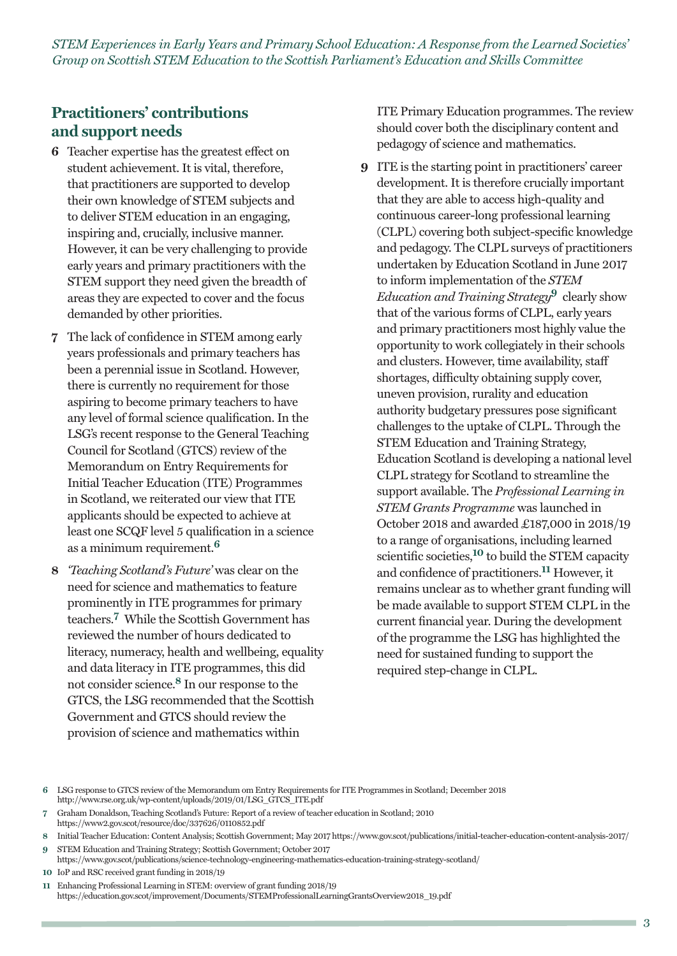### **Practitioners' contributions and support needs**

- **6** Teacher expertise has the greatest effect on student achievement. It is vital, therefore, that practitioners are supported to develop their own knowledge of STEM subjects and to deliver STEM education in an engaging, inspiring and, crucially, inclusive manner. However, it can be very challenging to provide early years and primary practitioners with the STEM support they need given the breadth of areas they are expected to cover and the focus demanded by other priorities.
- **7** The lack of confidence in STEM among early years professionals and primary teachers has been a perennial issue in Scotland. However, there is currently no requirement for those aspiring to become primary teachers to have any level of formal science qualification. In the LSG's recent response to the General Teaching Council for Scotland (GTCS) review of the Memorandum on Entry Requirements for Initial Teacher Education (ITE) Programmes in Scotland, we reiterated our view that ITE applicants should be expected to achieve at least one SCQF level 5 qualification in a science as a minimum requirement. **6**
- **8** *'Teaching Scotland's Future'* was clear on the need for science and mathematics to feature prominently in ITE programmes for primary teachers. **<sup>7</sup>** While the Scottish Government has reviewed the number of hours dedicated to literacy, numeracy, health and wellbeing, equality and data literacy in ITE programmes, this did not consider science. **<sup>8</sup>** In our response to the GTCS, the LSG recommended that the Scottish Government and GTCS should review the provision of science and mathematics within

ITE Primary Education programmes. The review should cover both the disciplinary content and pedagogy of science and mathematics.

**9** ITE is the starting point in practitioners' career development. It is therefore crucially important that they are able to access high-quality and continuous career-long professional learning (CLPL) covering both subject-specific knowledge and pedagogy. The CLPL surveys of practitioners undertaken by Education Scotland in June 2017 to inform implementation of the *STEM Education and Training Strategy***<sup>9</sup>** clearly show that of the various forms of CLPL, early years and primary practitioners most highly value the opportunity to work collegiately in their schools and clusters. However, time availability, staff shortages, difficulty obtaining supply cover, uneven provision, rurality and education authority budgetary pressures pose significant challenges to the uptake of CLPL. Through the STEM Education and Training Strategy, Education Scotland is developing a national level CLPL strategy for Scotland to streamline the support available. The *Professional Learning in STEM Grants Programme* was launched in October 2018 and awarded £187,000 in 2018/19 to a range of organisations, including learned scientific societies, **<sup>10</sup>** to build the STEM capacity and confidence of practitioners. **<sup>11</sup>** However, it remains unclear as to whether grant funding will be made available to support STEM CLPL in the current financial year. During the development of the programme the LSG has highlighted the need for sustained funding to support the required step-change in CLPL.

- **6** LSG response to GTCS review of the Memorandum om Entry Requirements for ITE Programmes in Scotland; December 2018 http://www.rse.org.uk/wp-content/uploads/2019/01/LSG\_GTCS\_ITE.pdf
- **7** Graham Donaldson, Teaching Scotland's Future: Report of a review of teacher education in Scotland; 2010
- https://www2.gov.scot/resource/doc/337626/0110852.pdf
- **8** Initial Teacher Education: Content Analysis; Scottish Government; May 2017 https://www.gov.scot/publications/initial-teacher-education-content-analysis-2017/
- **9** STEM Education and Training Strategy; Scottish Government; October 2017 https://www.gov.scot/publications/science-technology-engineering-mathematics-education-training-strategy-scotland/
- **10** IoP and RSC received grant funding in 2018/19
- **11** Enhancing Professional Learning in STEM: overview of grant funding 2018/19 https://education.gov.scot/improvement/Documents/STEMProfessionalLearningGrantsOverview2018\_19.pdf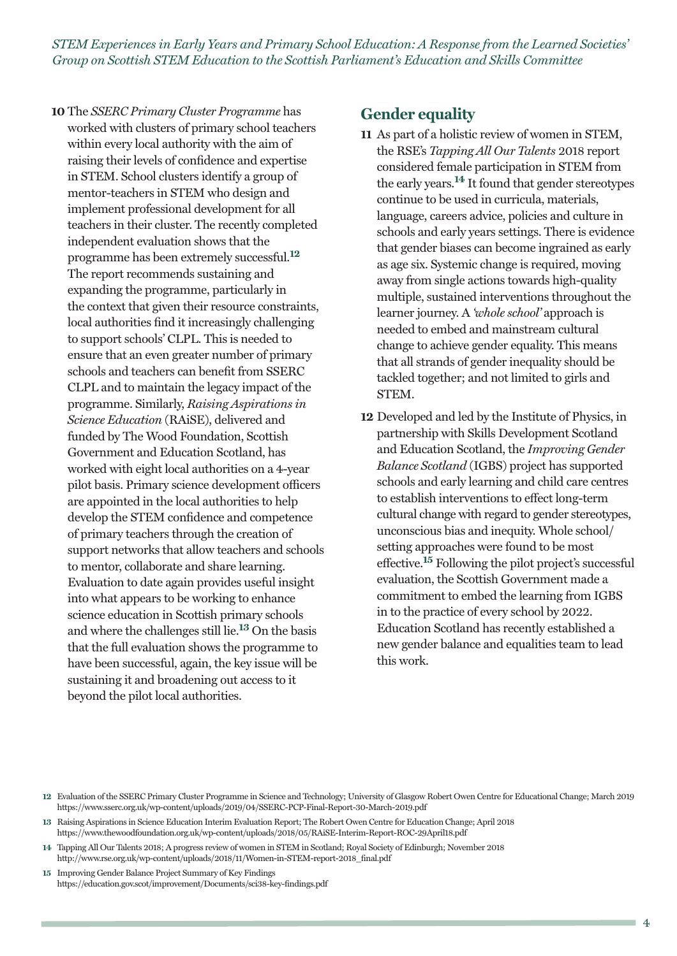**10** The *SSERC Primary Cluster Programme* has worked with clusters of primary school teachers within every local authority with the aim of raising their levels of confidence and expertise in STEM. School clusters identify a group of mentor-teachers in STEM who design and implement professional development for all teachers in their cluster. The recently completed independent evaluation shows that the programme has been extremely successful. **12** The report recommends sustaining and expanding the programme, particularly in the context that given their resource constraints, local authorities find it increasingly challenging to support schools' CLPL. This is needed to ensure that an even greater number of primary schools and teachers can benefit from SSERC CLPL and to maintain the legacy impact of the programme. Similarly, *Raising Aspirations in Science Education* (RAiSE), delivered and funded by The Wood Foundation, Scottish Government and Education Scotland, has worked with eight local authorities on a 4-year pilot basis. Primary science development officers are appointed in the local authorities to help develop the STEM confidence and competence of primary teachers through the creation of support networks that allow teachers and schools to mentor, collaborate and share learning. Evaluation to date again provides useful insight into what appears to be working to enhance science education in Scottish primary schools and where the challenges still lie. **<sup>13</sup>** On the basis that the full evaluation shows the programme to have been successful, again, the key issue will be sustaining it and broadening out access to it beyond the pilot local authorities.

#### **Gender equality**

- **11** As part of a holistic review of women in STEM, the RSE's *Tapping All Our Talents* 2018 report considered female participation in STEM from the early years. **<sup>14</sup>** It found that gender stereotypes continue to be used in curricula, materials, language, careers advice, policies and culture in schools and early years settings. There is evidence that gender biases can become ingrained as early as age six. Systemic change is required, moving away from single actions towards high-quality multiple, sustained interventions throughout the learner journey. A *'whole school'* approach is needed to embed and mainstream cultural change to achieve gender equality. This means that all strands of gender inequality should be tackled together; and not limited to girls and STEM.
- **12** Developed and led by the Institute of Physics, in partnership with Skills Development Scotland and Education Scotland, the *Improving Gender Balance Scotland* (IGBS) project has supported schools and early learning and child care centres to establish interventions to effect long-term cultural change with regard to gender stereotypes, unconscious bias and inequity. Whole school/ setting approaches were found to be most effective. **<sup>15</sup>** Following the pilot project's successful evaluation, the Scottish Government made a commitment to embed the learning from IGBS in to the practice of every school by 2022. Education Scotland has recently established a new gender balance and equalities team to lead this work.

**14** Tapping All Our Talents 2018; A progress review of women in STEM in Scotland; Royal Society of Edinburgh; November 2018 http://www.rse.org.uk/wp-content/uploads/2018/11/Women-in-STEM-report-2018\_final.pdf

**15** Improving Gender Balance Project Summary of Key Findings https://education.gov.scot/improvement/Documents/sci38-key-findings.pdf

m.

**<sup>12</sup>** Evaluation of the SSERC Primary Cluster Programme in Science and Technology; University of Glasgow Robert Owen Centre for Educational Change; March 2019 https://www.sserc.org.uk/wp-content/uploads/2019/04/SSERC-PCP-Final-Report-30-March-2019.pdf

**<sup>13</sup>** Raising Aspirations in Science Education Interim Evaluation Report; The Robert Owen Centre for Education Change; April 2018 https://www.thewoodfoundation.org.uk/wp-content/uploads/2018/05/RAiSE-Interim-Report-ROC-29April18.pdf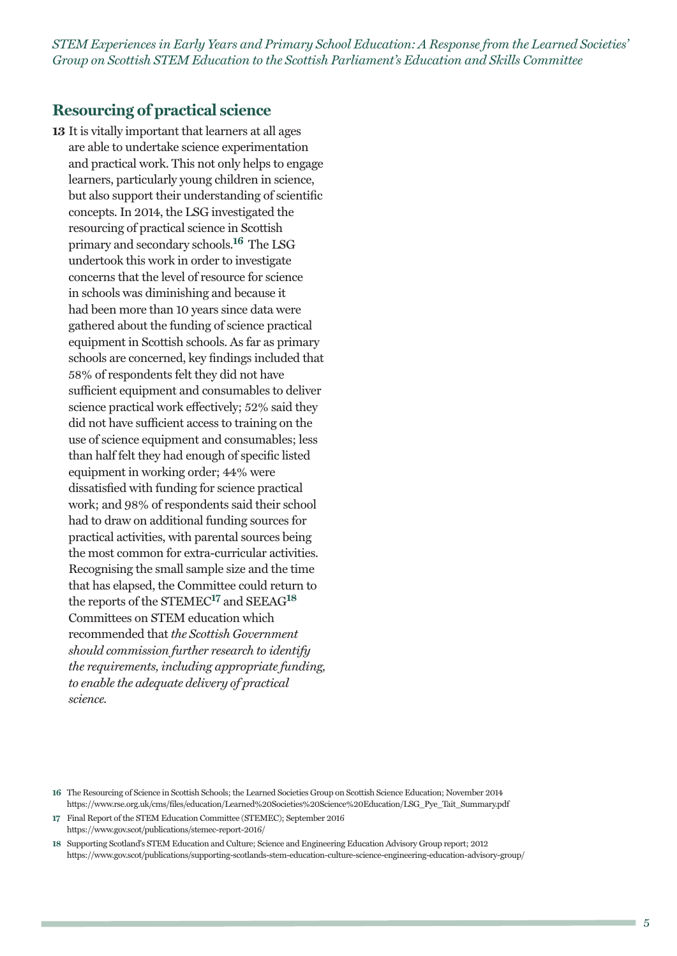#### **Resourcing of practical science**

**13** It is vitally important that learners at all ages are able to undertake science experimentation and practical work. This not only helps to engage learners, particularly young children in science, but also support their understanding of scientific concepts. In 2014, the LSG investigated the resourcing of practical science in Scottish primary and secondary schools. **<sup>16</sup>** The LSG undertook this work in order to investigate concerns that the level of resource for science in schools was diminishing and because it had been more than 10 years since data were gathered about the funding of science practical equipment in Scottish schools. As far as primary schools are concerned, key findings included that 58% of respondents felt they did not have sufficient equipment and consumables to deliver science practical work effectively; 52% said they did not have sufficient access to training on the use of science equipment and consumables; less than half felt they had enough of specific listed equipment in working order; 44% were dissatisfied with funding for science practical work; and 98% of respondents said their school had to draw on additional funding sources for practical activities, with parental sources being the most common for extra-curricular activities. Recognising the small sample size and the time that has elapsed, the Committee could return to the reports of the STEMEC**<sup>17</sup>** and SEEAG**<sup>18</sup>** Committees on STEM education which recommended that *the Scottish Government should commission further research to identify the requirements, including appropriate funding, to enable the adequate delivery of practical science.*

**<sup>16</sup>** The Resourcing of Science in Scottish Schools; the Learned Societies Group on Scottish Science Education; November 2014 https://www.rse.org.uk/cms/files/education/Learned%20Societies%20Science%20Education/LSG\_Pye\_Tait\_Summary.pdf

**<sup>17</sup>** Final Report of the STEM Education Committee (STEMEC); September 2016 https://www.gov.scot/publications/stemec-report-2016/

**<sup>18</sup>** Supporting Scotland's STEM Education and Culture; Science and Engineering Education Advisory Group report; 2012 https://www.gov.scot/publications/supporting-scotlands-stem-education-culture-science-engineering-education-advisory-group/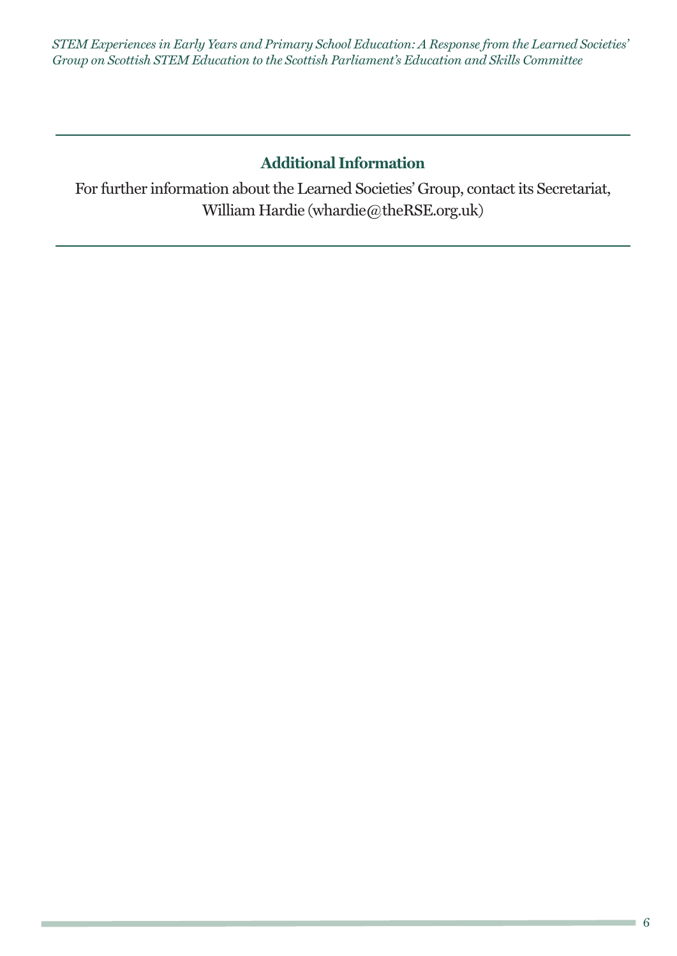# **Additional Information**

For further information about the Learned Societies' Group, contact its Secretariat, William Hardie (whardie@theRSE.org.uk)